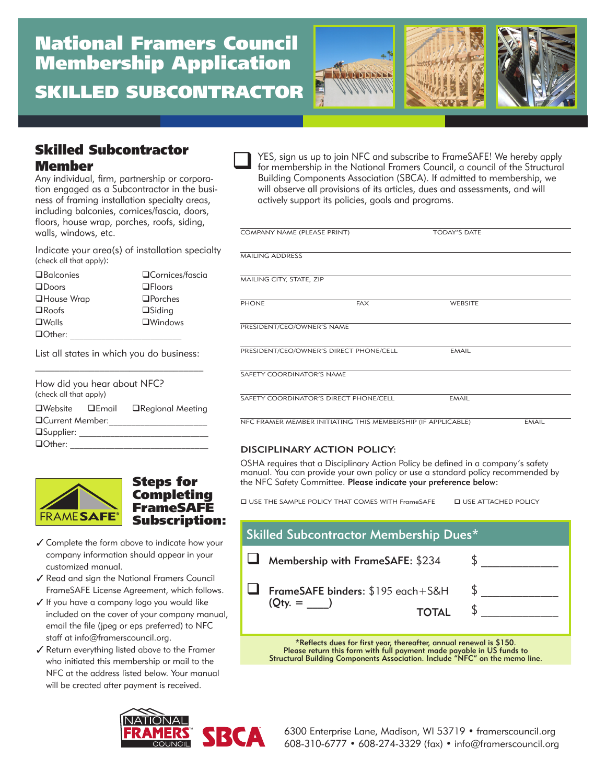# National Framers Council Membership Application SKILLED SUBCONTRACTOR



# Skilled Subcontractor Member

Any individual, firm, partnership or corporation engaged as a Subcontractor in the business of framing installation specialty areas, including balconies, cornices/fascia, doors, floors, house wrap, porches, roofs, siding, walls, windows, etc.

Indicate your area(s) of installation specialty (check all that apply):

| <b>O</b> Balconies | □Cornices/fascia |
|--------------------|------------------|
| $\Box$ Doors       | $\Box$ Floors    |
| <b>□House Wrap</b> | $\Box$ Porches   |
| $\square$ Roofs    | $\Box$ Siding    |
| $\square$ Walls    | $\Box$ Windows   |
| □Other:            |                  |

List all states in which you do business:  $\mathcal{L}=\mathcal{L}=\mathcal{L}=\mathcal{L}=\mathcal{L}=\mathcal{L}=\mathcal{L}=\mathcal{L}=\mathcal{L}=\mathcal{L}=\mathcal{L}=\mathcal{L}=\mathcal{L}=\mathcal{L}=\mathcal{L}=\mathcal{L}=\mathcal{L}=\mathcal{L}=\mathcal{L}=\mathcal{L}=\mathcal{L}=\mathcal{L}=\mathcal{L}=\mathcal{L}=\mathcal{L}=\mathcal{L}=\mathcal{L}=\mathcal{L}=\mathcal{L}=\mathcal{L}=\mathcal{L}=\mathcal{L}=\mathcal{L}=\mathcal{L}=\mathcal{L}=\mathcal{L}=\mathcal{$ 

| How did you hear about NFC?<br>(check all that apply) |  |                   |  |
|-------------------------------------------------------|--|-------------------|--|
| $\Box$ Website $\Box$ Email                           |  | □Regional Meeting |  |
| <b>QCurrent Member:</b>                               |  |                   |  |
| $\Box$ Supplier:                                      |  |                   |  |
| <b>□Other:</b>                                        |  |                   |  |



Steps for Completing FrameSAFE Subscription:

- Complete the form above to indicate how your company information should appear in your customized manual.
- Read and sign the National Framers Council FrameSAFE License Agreement, which follows.
- ✔ If you have a company logo you would like included on the cover of your company manual, email the file (jpeg or eps preferred) to NFC staff at info@framerscouncil.org.
- Return everything listed above to the Framer who initiated this membership or mail to the NFC at the address listed below. Your manual will be created after payment is received.



YES, sign us up to join NFC and subscribe to FrameSAFE! We hereby apply for membership in the National Framers Council, a council of the Structural Building Components Association (SBCA). If admitted to membership, we will observe all provisions of its articles, dues and assessments, and will actively support its policies, goals and programs.  $\Box$ 

| COMPANY NAME (PLEASE PRINT)                                  |            | <b>TODAY'S DATE</b> |              |
|--------------------------------------------------------------|------------|---------------------|--------------|
| <b>MAILING ADDRESS</b>                                       |            |                     |              |
| MAILING CITY, STATE, ZIP                                     |            |                     |              |
| <b>PHONE</b>                                                 | <b>FAX</b> | <b>WEBSITE</b>      |              |
| PRESIDENT/CEO/OWNER'S NAME                                   |            |                     |              |
| PRESIDENT/CEO/OWNER'S DIRECT PHONE/CELL                      |            | <b>EMAIL</b>        |              |
| SAFETY COORDINATOR'S NAME                                    |            |                     |              |
| SAFETY COORDINATOR'S DIRECT PHONE/CELL                       |            | <b>EMAIL</b>        |              |
| NFC FRAMER MEMBER INITIATING THIS MEMBERSHIP (IF APPLICABLE) |            |                     | <b>EMAIL</b> |

#### DISCIPLINARY ACTION POLICY:

OSHA requires that a Disciplinary Action Policy be defined in a company's safety manual. You can provide your own policy or use a standard policy recommended by the NFC Safety Committee. Please indicate your preference below:

USE THE SAMPLE POLICY THAT COMES WITH FrameSAFE USE ATTACHED POLICY

| Skilled Subcontractor Membership Dues*                                                                                                                                                                                                                      |  |  |
|-------------------------------------------------------------------------------------------------------------------------------------------------------------------------------------------------------------------------------------------------------------|--|--|
| $\Box$ Membership with FrameSAFE: \$234                                                                                                                                                                                                                     |  |  |
| $\Box$ FrameSAFE binders: \$195 each+S&H<br>$(Q_{\text{ty.}} = )$<br><b>TOTAL</b>                                                                                                                                                                           |  |  |
| $+$ 0 $\pm$ 1 $\pm$ 0 $\pm$ 0 $\pm$ 1 $\pm$ 0 $\pm$ 1 $\pm$ 0 $\pm$ 0 $\pm$ 0 $\pm$ 0 $\pm$ 0 $\pm$ 0 $\pm$ 0 $\pm$ 0 $\pm$ 0 $\pm$ 0 $\pm$ 0 $\pm$ 0 $\pm$ 0 $\pm$ 0 $\pm$ 0 $\pm$ 0 $\pm$ 0 $\pm$ 0 $\pm$ 0 $\pm$ 0 $\pm$ 0 $\pm$ 0 $\pm$ 0 $\pm$ 0 $\pm$ |  |  |

\*Reflects dues for first year, thereafter, annual renewal is \$150. Please return this form with full payment made payable in US funds to Structural Building Components Association. Include "NFC" on the memo line.

6300 Enterprise Lane, Madison, WI 53719 • framerscouncil.org 608-310-6777 • 608-274-3329 (fax) • info@framerscouncil.org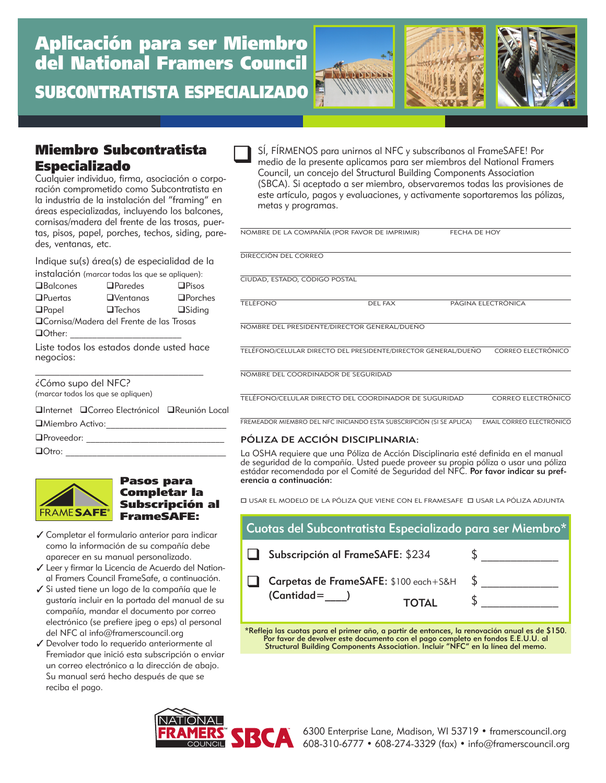

## Miembro Subcontratista Especializado

Cualquier individuo, firma, asociación o corporación comprometido como Subcontratista en la industria de la instalación del "framing" en áreas especializadas, incluyendo los balcones, cornisas/madera del frente de las trosas, puertas, pisos, papel, porches, techos, siding, paredes, ventanas, etc.

Indique su(s) área(s) de especialidad de la

|                                           | instalación (marcar todas las que se apliquen): |                |
|-------------------------------------------|-------------------------------------------------|----------------|
| $\Box$ Balcones                           | $D$ Paredes                                     | $\Box$ Pisos   |
| $D$ Puertas                               | $\Box$ Ventanas                                 | $\Box$ Porches |
| $\Box$ Papel                              | $\Box$ Techos                                   | $\Box$ Siding  |
| □ Cornisa/Madera del Frente de las Trosas |                                                 |                |
| Other:                                    |                                                 |                |
| negocios:                                 | Liste todos los estados donde usted hace        |                |

¿Cómo supo del NFC?

(marcar todos los que se apliquen)

| (marcar todos los que se apliquen)              |  |
|-------------------------------------------------|--|
| □Internet □ Correo Electrónicol □ Reunión Local |  |
| □Miembro Activo:                                |  |
| □Proveedor:                                     |  |
| $\Box$ Otro:                                    |  |



#### Pasos para Completar la Subscripción al FrameSAFE:

- Completar el formulario anterior para indicar como la información de su compañía debe aparecer en su manual personalizado.
- Leer y firmar la Licencia de Acuerdo del National Framers Council FrameSafe, a continuación.
- Si usted tiene un logo de la compañía que le gustaría incluir en la portada del manual de su compañía, mandar el documento por correo electrónico (se prefiere jpeg o eps) al personal del NFC al info@framerscouncil.org
- Devolver todo lo requerido anteriormente al Fremiador que inició esta subscripción o enviar un correo electrónico a la dirección de abajo. Su manual será hecho después de que se reciba el pago.

SÍ, FÍRMENOS para unirnos al NFC y subscríbanos al FrameSAFE! Por medio de la presente aplicamos para ser miembros del National Framers Council, un concejo del Structural Building Components Association (SBCA). Si aceptado a ser miembro, observaremos todas las provisiones de este artículo, pagos y evaluaciones, y activamente soportaremos las pólizas, metas y programas.  $\Box$ 

| NOMBRE DE LA COMPAÑÍA (POR FAVOR DE IMPRIMIR)                  |                | FECHA DE HOY |                           |
|----------------------------------------------------------------|----------------|--------------|---------------------------|
| DIRECCIÓN DEL CORREO                                           |                |              |                           |
| CIUDAD, ESTADO, CÓDIGO POSTAL                                  |                |              |                           |
| <b>TELÉFONO</b>                                                | <b>DEL FAX</b> |              | PÁGINA ELECTRÓNICA        |
| NOMBRE DEL PRESIDENTE/DIRECTOR GENERAL/DUEÑO                   |                |              |                           |
| TELÉFONO/CELULAR DIRECTO DEL PRESIDENTE/DIRECTOR GENERAL/DUEÑO |                |              | CORREO ELECTRÓNICO        |
| NOMBRE DEL COORDINADOR DE SEGURIDAD                            |                |              |                           |
| TELÉFONO/CELULAR DIRECTO DEL COORDINADOR DE SUGURIDAD          |                |              | <b>CORREO ELECTRÓNICO</b> |

**FREMEADOR MIEMBRO DEL NFC INICIANDO ESTA SUBSCRIPCIÓN (SI SE APLICA) — EMAIL CORREO ELECTRÓNICO** 

#### PÓLIZA DE ACCIÓN DISCIPLINARIA:

La OSHA requiere que una Póliza de Acción Disciplinaria esté definida en el manual de seguridad de la compañía. Usted puede proveer su propia póliza o usar una póliza estádar recomendada por el Comité de Seguridad del NFC. **Por favor indicar su pref-**<br>erencia a continuación:

 $\Box$ USAR EL MODELO DE LA PÓLIZA QUE VIENE CON EL FRAMESAFE  $\Box$  USAR LA PÓLIZA ADJUNTA

| Cuotas del Subcontratista Especializado para ser Miembro*                 |     |  |
|---------------------------------------------------------------------------|-----|--|
| Subscripción al FrameSAFE: \$234                                          |     |  |
| Carpetas de FrameSAFE: \$100 each+S&H<br>$($ Cantidad $=$<br><b>TOTAL</b> | -SS |  |

\*Refleja las cuotas para el primer año, a partir de entonces, la renovación anual es de \$150. Por favor de devolver este documento con el pago completo en fondos E.E.U.U. al Structural Building Components Association. Incluir "NFC" en la línea del memo.

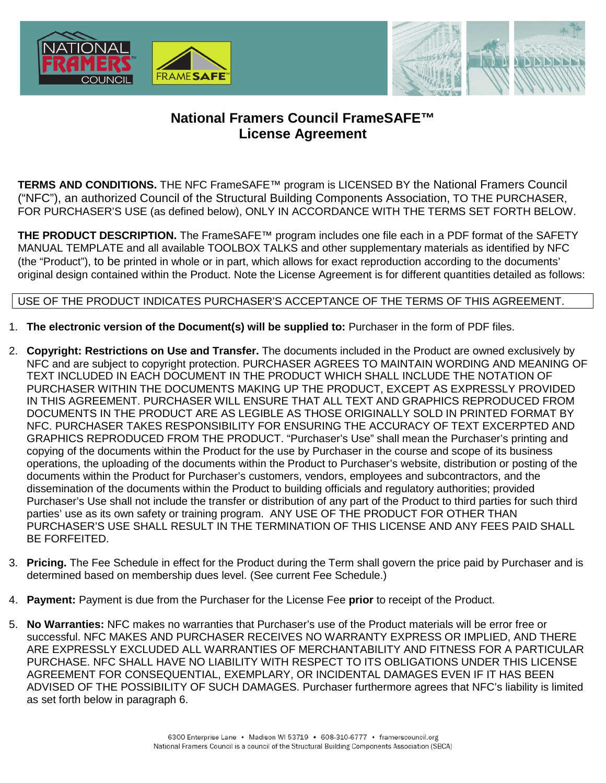



# **National Framers Council FrameSAFE™ License Agreement**

**TERMS AND CONDITIONS.** THE NFC FrameSAFE™ program is LICENSED BY the National Framers Council ("NFC"), an authorized Council of the Structural Building Components Association, TO THE PURCHASER, FOR PURCHASER'S USE (as defined below), ONLY IN ACCORDANCE WITH THE TERMS SET FORTH BELOW.

**THE PRODUCT DESCRIPTION.** The FrameSAFE™ program includes one file each in a PDF format of the SAFETY MANUAL TEMPLATE and all available TOOLBOX TALKS and other supplementary materials as identified by NFC (the "Product"), to be printed in whole or in part, which allows for exact reproduction according to the documents' original design contained within the Product. Note the License Agreement is for different quantities detailed as follows:

### USE OF THE PRODUCT INDICATES PURCHASER'S ACCEPTANCE OF THE TERMS OF THIS AGREEMENT.

- 1. **The electronic version of the Document(s) will be supplied to:** Purchaser in the form of PDF files.
- 2. **Copyright: Restrictions on Use and Transfer.** The documents included in the Product are owned exclusively by NFC and are subject to copyright protection. PURCHASER AGREES TO MAINTAIN WORDING AND MEANING OF TEXT INCLUDED IN EACH DOCUMENT IN THE PRODUCT WHICH SHALL INCLUDE THE NOTATION OF PURCHASER WITHIN THE DOCUMENTS MAKING UP THE PRODUCT, EXCEPT AS EXPRESSLY PROVIDED IN THIS AGREEMENT. PURCHASER WILL ENSURE THAT ALL TEXT AND GRAPHICS REPRODUCED FROM DOCUMENTS IN THE PRODUCT ARE AS LEGIBLE AS THOSE ORIGINALLY SOLD IN PRINTED FORMAT BY NFC. PURCHASER TAKES RESPONSIBILITY FOR ENSURING THE ACCURACY OF TEXT EXCERPTED AND GRAPHICS REPRODUCED FROM THE PRODUCT. "Purchaser's Use" shall mean the Purchaser's printing and copying of the documents within the Product for the use by Purchaser in the course and scope of its business operations, the uploading of the documents within the Product to Purchaser's website, distribution or posting of the documents within the Product for Purchaser's customers, vendors, employees and subcontractors, and the dissemination of the documents within the Product to building officials and regulatory authorities; provided Purchaser's Use shall not include the transfer or distribution of any part of the Product to third parties for such third parties' use as its own safety or training program. ANY USE OF THE PRODUCT FOR OTHER THAN PURCHASER'S USE SHALL RESULT IN THE TERMINATION OF THIS LICENSE AND ANY FEES PAID SHALL BE FORFEITED.
- 3. **Pricing.** The Fee Schedule in effect for the Product during the Term shall govern the price paid by Purchaser and is determined based on membership dues level. (See current Fee Schedule.)
- 4. **Payment:** Payment is due from the Purchaser for the License Fee **prior** to receipt of the Product.
- 5. **No Warranties:** NFC makes no warranties that Purchaser's use of the Product materials will be error free or successful. NFC MAKES AND PURCHASER RECEIVES NO WARRANTY EXPRESS OR IMPLIED, AND THERE ARE EXPRESSLY EXCLUDED ALL WARRANTIES OF MERCHANTABILITY AND FITNESS FOR A PARTICULAR PURCHASE. NFC SHALL HAVE NO LIABILITY WITH RESPECT TO ITS OBLIGATIONS UNDER THIS LICENSE AGREEMENT FOR CONSEQUENTIAL, EXEMPLARY, OR INCIDENTAL DAMAGES EVEN IF IT HAS BEEN ADVISED OF THE POSSIBILITY OF SUCH DAMAGES. Purchaser furthermore agrees that NFC's liability is limited as set forth below in paragraph 6.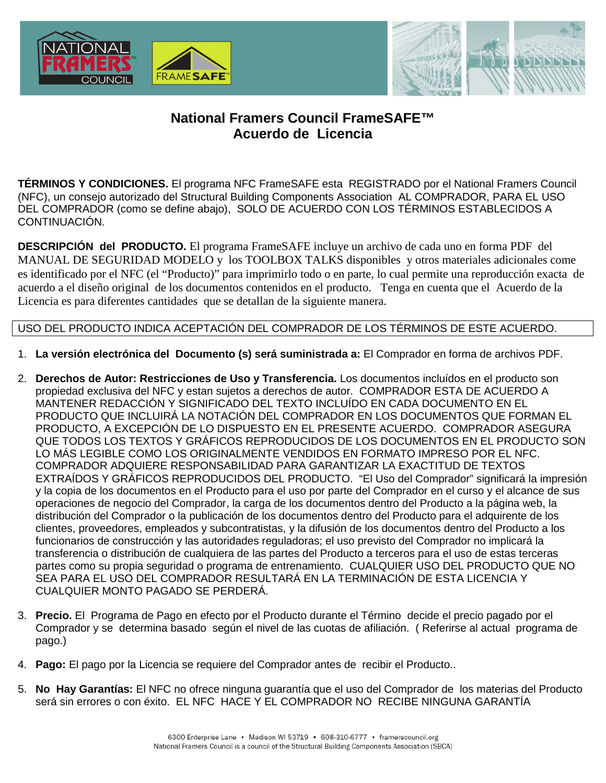



# **National Framers Council FrameSAFE™ Acuerdo de Licencia**

**TÉRMINOS Y CONDICIONES.** El programa NFC FrameSAFE esta REGISTRADO por el National Framers Council (NFC), un consejo autorizado del Structural Building Components Association AL COMPRADOR, PARA EL USO DEL COMPRADOR (como se define abajo), SOLO DE ACUERDO CON LOS TÉRMINOS ESTABLECIDOS A CONTINUACIÓN.

**DESCRIPCIÓN del PRODUCTO.** El programa FrameSAFE incluye un archivo de cada uno en forma PDF del MANUAL DE SEGURIDAD MODELO y los TOOLBOX TALKS disponibles y otros materiales adicionales come es identificado por el NFC (el "Producto)" para imprimirlo todo o en parte, lo cual permite una reproducción exacta de acuerdo a el diseño original de los documentos contenidos en el producto. Tenga en cuenta que el Acuerdo de la Licencia es para diferentes cantidades que se detallan de la siguiente manera.

### USO DEL PRODUCTO INDICA ACEPTACIÓN DEL COMPRADOR DE LOS TÉRMINOS DE ESTE ACUERDO.

- 1. **La versión electrónica del Documento (s) será suministrada a:** El Comprador en forma de archivos PDF.
- 2. **Derechos de Autor: Restricciones de Uso y Transferencia.** Los documentos incluídos en el producto son propiedad exclusiva del NFC y estan sujetos a derechos de autor. COMPRADOR ESTA DE ACUERDO A MANTENER REDACCIÓN Y SIGNIFICADO DEL TEXTO INCLUÍDO EN CADA DOCUMENTO EN EL PRODUCTO QUE INCLUIRÁ LA NOTACIÓN DEL COMPRADOR EN LOS DOCUMENTOS QUE FORMAN EL PRODUCTO, A EXCEPCIÓN DE LO DISPUESTO EN EL PRESENTE ACUERDO. COMPRADOR ASEGURA QUE TODOS LOS TEXTOS Y GRÁFICOS REPRODUCIDOS DE LOS DOCUMENTOS EN EL PRODUCTO SON LO MÁS LEGIBLE COMO LOS ORIGINALMENTE VENDIDOS EN FORMATO IMPRESO POR EL NFC. COMPRADOR ADQUIERE RESPONSABILIDAD PARA GARANTIZAR LA EXACTITUD DE TEXTOS EXTRAÍDOS Y GRÁFICOS REPRODUCIDOS DEL PRODUCTO. "El Uso del Comprador" significará la impresión y la copia de los documentos en el Producto para el uso por parte del Comprador en el curso y el alcance de sus operaciones de negocio del Comprador, la carga de los documentos dentro del Producto a la página web, la distribución del Comprador o la publicación de los documentos dentro del Producto para el adquirente de los clientes, proveedores, empleados y subcontratistas, y la difusión de los documentos dentro del Producto a los funcionarios de construcción y las autoridades reguladoras; el uso previsto del Comprador no implicará la transferencia o distribución de cualquiera de las partes del Producto a terceros para el uso de estas terceras partes como su propia seguridad o programa de entrenamiento. CUALQUIER USO DEL PRODUCTO QUE NO SEA PARA EL USO DEL COMPRADOR RESULTARÁ EN LA TERMINACIÓN DE ESTA LICENCIA Y CUALQUIER MONTO PAGADO SE PERDERÁ.
- 3. **Precio.** El Programa de Pago en efecto por el Producto durante el Término decide el precio pagado por el Comprador y se determina basado según el nivel de las cuotas de afiliación. ( Referirse al actual programa de pago.)
- 4. **Pago:** El pago por la Licencia se requiere del Comprador antes de recibir el Producto..
- 5. **No Hay Garantías:** El NFC no ofrece ninguna guarantía que el uso del Comprador de los materias del Producto será sin errores o con éxito. EL NFC HACE Y EL COMPRADOR NO RECIBE NINGUNA GARANTÍA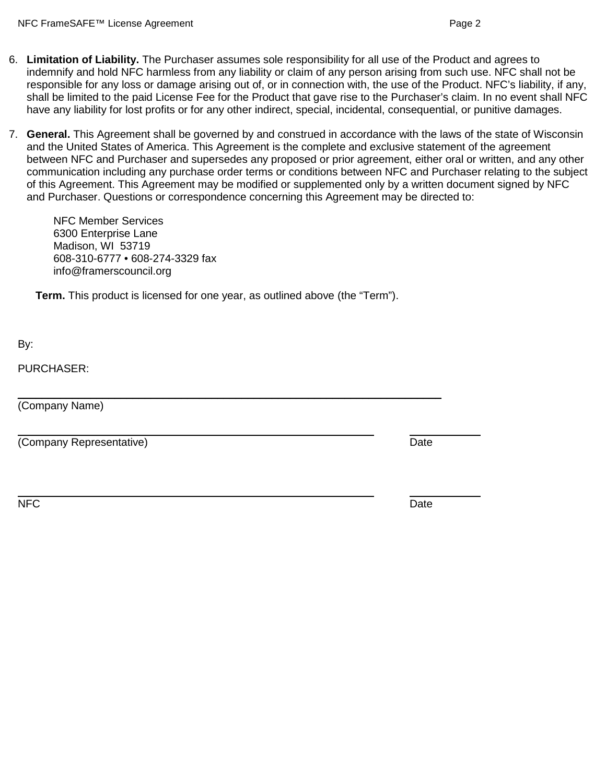- 6. **Limitation of Liability.** The Purchaser assumes sole responsibility for all use of the Product and agrees to indemnify and hold NFC harmless from any liability or claim of any person arising from such use. NFC shall not be responsible for any loss or damage arising out of, or in connection with, the use of the Product. NFC's liability, if any, shall be limited to the paid License Fee for the Product that gave rise to the Purchaser's claim. In no event shall NFC have any liability for lost profits or for any other indirect, special, incidental, consequential, or punitive damages.
- 7. **General.** This Agreement shall be governed by and construed in accordance with the laws of the state of Wisconsin and the United States of America. This Agreement is the complete and exclusive statement of the agreement between NFC and Purchaser and supersedes any proposed or prior agreement, either oral or written, and any other communication including any purchase order terms or conditions between NFC and Purchaser relating to the subject of this Agreement. This Agreement may be modified or supplemented only by a written document signed by NFC and Purchaser. Questions or correspondence concerning this Agreement may be directed to:

NFC Member Services 6300 Enterprise Lane Madison, WI 53719 608-310-6777 • 608-274-3329 fax info@framerscouncil.org

**Term.** This product is licensed for one year, as outlined above (the "Term").

 $\overline{\phantom{a}}$  , and the contribution of the contribution of the contribution of the contribution of the contribution of the contribution of the contribution of the contribution of the contribution of the contribution of the

By:

PURCHASER:

(Company Name)

(Company Representative) and the company Representative) and the company of the company of the company of the company of the company of the company of the company of the company of the company of the company of the company

NFC Date and the contract of the contract of the contract of the contract of the contract of the contract of the contract of the contract of the contract of the contract of the contract of the contract of the contract of t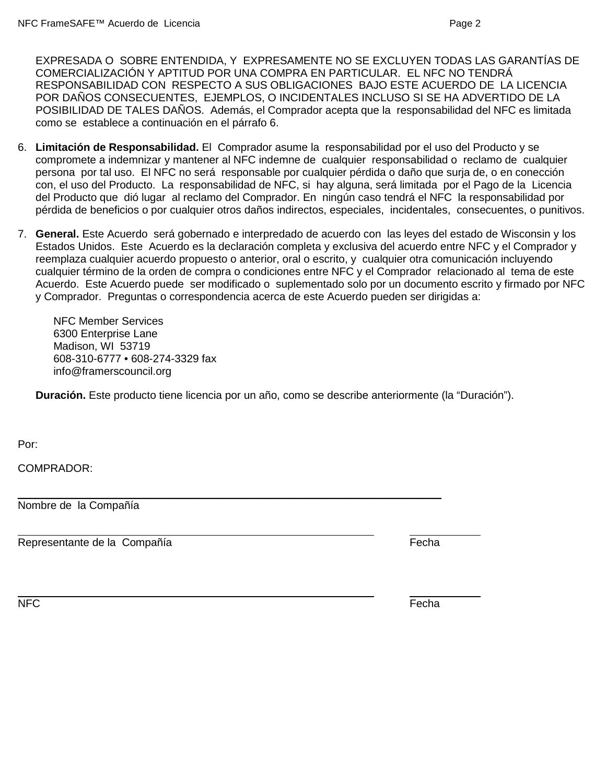EXPRESADA O SOBRE ENTENDIDA, Y EXPRESAMENTE NO SE EXCLUYEN TODAS LAS GARANTÍAS DE COMERCIALIZACIÓN Y APTITUD POR UNA COMPRA EN PARTICULAR. EL NFC NO TENDRÁ RESPONSABILIDAD CON RESPECTO A SUS OBLIGACIONES BAJO ESTE ACUERDO DE LA LICENCIA POR DAÑOS CONSECUENTES, EJEMPLOS, O INCIDENTALES INCLUSO SI SE HA ADVERTIDO DE LA POSIBILIDAD DE TALES DAÑOS. Además, el Comprador acepta que la responsabilidad del NFC es limitada como se establece a continuación en el párrafo 6.

- 6. **Limitación de Responsabilidad.** El Comprador asume la responsabilidad por el uso del Producto y se compromete a indemnizar y mantener al NFC indemne de cualquier responsabilidad o reclamo de cualquier persona por tal uso. El NFC no será responsable por cualquier pérdida o daño que surja de, o en conección con, el uso del Producto. La responsabilidad de NFC, si hay alguna, será limitada por el Pago de la Licencia del Producto que dió lugar al reclamo del Comprador. En ningún caso tendrá el NFC la responsabilidad por pérdida de beneficios o por cualquier otros daños indirectos, especiales, incidentales, consecuentes, o punitivos.
- 7. **General.** Este Acuerdo será gobernado e interpredado de acuerdo con las leyes del estado de Wisconsin y los Estados Unidos. Este Acuerdo es la declaración completa y exclusiva del acuerdo entre NFC y el Comprador y reemplaza cualquier acuerdo propuesto o anterior, oral o escrito, y cualquier otra comunicación incluyendo cualquier término de la orden de compra o condiciones entre NFC y el Comprador relacionado al tema de este Acuerdo. Este Acuerdo puede ser modificado o suplementado solo por un documento escrito y firmado por NFC y Comprador. Preguntas o correspondencia acerca de este Acuerdo pueden ser dirigidas a:

NFC Member Services 6300 Enterprise Lane Madison, WI 53719 608-310-6777 • 608-274-3329 fax info@framerscouncil.org

**Duración.** Este producto tiene licencia por un año, como se describe anteriormente (la "Duración").

 $\overline{\phantom{a}}$  , and the contribution of the contribution of the contribution of the contribution of the contribution of the contribution of the contribution of the contribution of the contribution of the contribution of the

Por:

COMPRADOR:

Nombre de la Compañía

Representante de la Compañía entre en la compañía entre en la compañía en la compañía en la compañía en la comp

NFC Fecha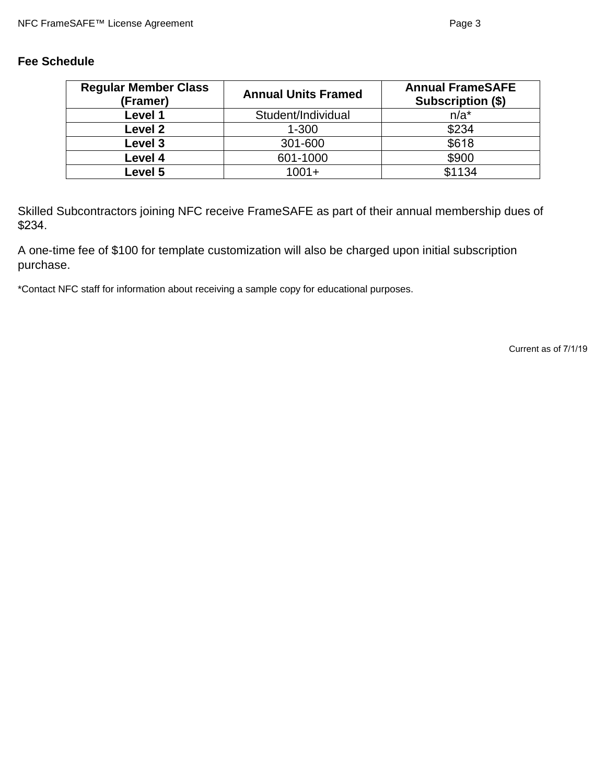### **Fee Schedule**

| <b>Regular Member Class</b><br>(Framer) | <b>Annual Units Framed</b> | <b>Annual FrameSAFE</b><br><b>Subscription (\$)</b> |
|-----------------------------------------|----------------------------|-----------------------------------------------------|
| Level 1                                 | Student/Individual         | $n/a^*$                                             |
| Level <sub>2</sub>                      | $1 - 300$                  | \$234                                               |
| Level 3                                 | 301-600                    | \$618                                               |
| Level 4                                 | 601-1000                   | \$900                                               |
| Level 5                                 | $1001 +$                   | \$1134                                              |

Skilled Subcontractors joining NFC receive FrameSAFE as part of their annual membership dues of \$234.

A one-time fee of \$100 for template customization will also be charged upon initial subscription purchase.

\*Contact NFC staff for information about receiving a sample copy for educational purposes.

Current as of 7/1/19